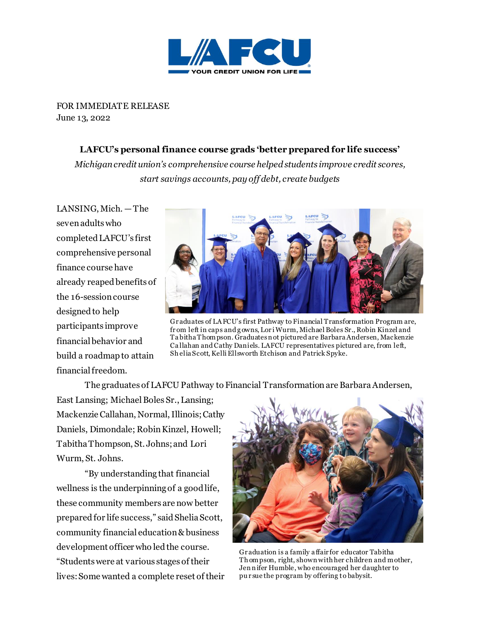

FOR IMMEDIATE RELEASE June 13, 2022

## **LAFCU's personal finance course grads 'better prepared for life success'**

*Michigan credit union's comprehensive course helped students improve credit scores, start savings accounts, pay off debt, create budgets*

LANSING, Mich. — The seven adults who completed LAFCU's first comprehensive personal finance course have already reaped benefits of the 16-session course designed to help participants improve financial behavior and build a roadmap to attain financial freedom.



Gr aduates of LA FCU's first Pathway to Financial Transformation Program are, fr om left in caps and g owns, Lor i Wurm, Michael Boles Sr., Robin Kinzel and Ta bitha Thompson. Graduates n ot pictured are Barbara Andersen, Mackenzie Ca llahan and Cathy Daniels. LAFCU representatives pictured are, from left, Sh elia Scott, Kelli Ellsworth Etchison and Patrick Spyke.

The graduates of LAFCU Pathway to Financial Transformation are Barbara Andersen,

East Lansing; Michael Boles Sr., Lansing; Mackenzie Callahan, Normal, Illinois; Cathy Daniels, Dimondale; Robin Kinzel, Howell; Tabitha Thompson, St. Johns; and Lori Wurm, St. Johns.

"By understanding that financial wellness is the underpinning of a good life, these community members are now better prepared for life success," said Shelia Scott, community financial education & business development officer who led the course. "Students were at various stages of their lives:Some wanted a complete reset of their



Gr aduation is a family a ffair for educator Tabitha Th ompson, right, shown with her children and mother, Jen n ifer Humble, who encouraged her daughter to pu r sue the program by offering to babysit.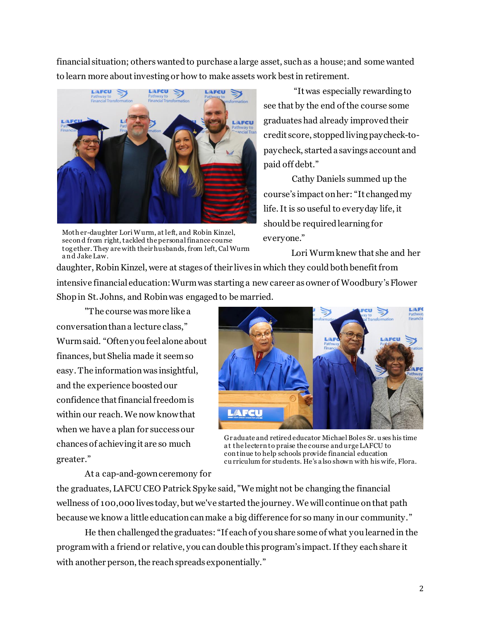financial situation; others wanted to purchase a large asset, such as a house; and some wanted to learn more about investing or how to make assets work best in retirement.



Moth er-daughter Lori Wurm, at left, and Robin Kinzel, secon d from right, tackled the personal finance course tog ether. They are with theirhusbands, from left, Cal Wurm a n d Jake Law.

"It was especially rewarding to see that by the end of the course some graduates had already improvedtheir credit score, stopped living paycheck-topaycheck, starteda savings account and paid off debt."

Cathy Daniels summed up the course's impact onher: "It changed my life. It is so useful to everyday life, it should be required learning for everyone."

Lori Wurmknew that she and her daughter, Robin Kinzel, were at stages of their lives in which they could both benefit from

intensive financial education:Wurm was starting a new career as owner of Woodbury's Flower Shop in St. Johns, and Robin was engaged to be married.

"The course was more like a conversation than a lecture class," Wurm said. "Often you feel alone about finances, but Shelia made it seem so easy. The informationwas insightful, and the experience boosted our confidence that financial freedom is within our reach.We now know that when we have a plan for success our chances of achieving it are so much greater."



Gr aduate and retired educator Michael Boles Sr. u ses his time a t the lecternto praise the course and urge LAFCU to con tinue to help schools provide financial education cu rriculum for students. He's a lso shown with his wife, Flora.

At a cap-and-gown ceremony for

the graduates, LAFCU CEO Patrick Spyke said, "We might not be changing the financial wellness of 100,000 lives today, but we've started the journey. We will continue on that path because we know a little education can make a big difference for so many in our community."

He then challenged the graduates: "If each of you share some of what you learned in the programwith a friend or relative, you can double thisprogram's impact. If they each share it with another person, the reach spreads exponentially."